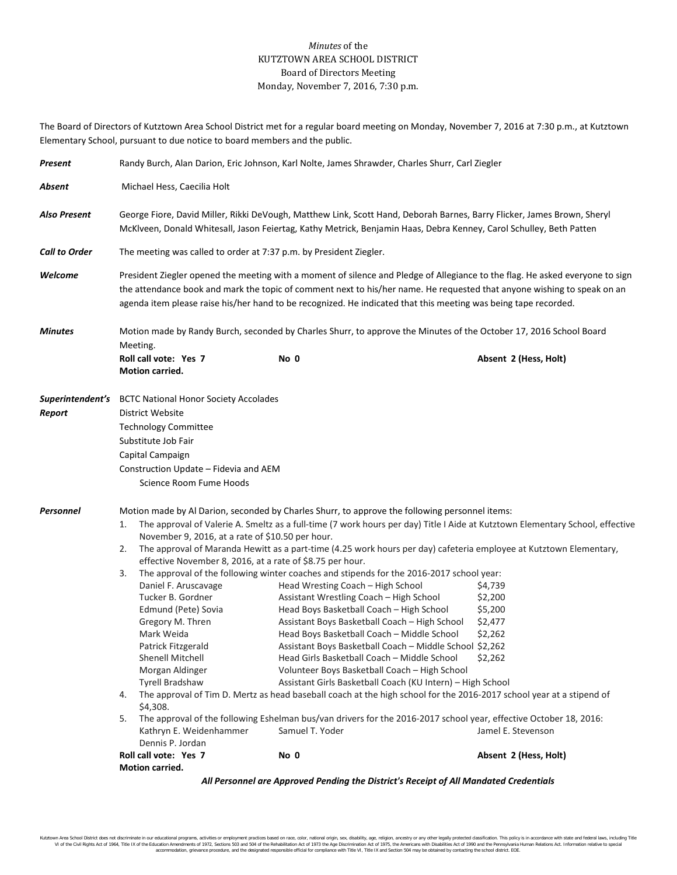## *Minutes* of the KUTZTOWN AREA SCHOOL DISTRICT Board of Directors Meeting Monday, November 7, 2016, 7:30 p.m.

The Board of Directors of Kutztown Area School District met for a regular board meeting on Monday, November 7, 2016 at 7:30 p.m., at Kutztown Elementary School, pursuant to due notice to board members and the public.

| Present                                                                               | Randy Burch, Alan Darion, Eric Johnson, Karl Nolte, James Shrawder, Charles Shurr, Carl Ziegler                                                                                                                                                                                                                                                                                                                                                                                                                                                                                                                                                                                                                                                                                                                                                                                                                                                                                                                                                                                                                                                                                                                                                                                                                                                                                                                                                                                                                                                                                                                                                                                                                                                   |      |                       |  |  |  |
|---------------------------------------------------------------------------------------|---------------------------------------------------------------------------------------------------------------------------------------------------------------------------------------------------------------------------------------------------------------------------------------------------------------------------------------------------------------------------------------------------------------------------------------------------------------------------------------------------------------------------------------------------------------------------------------------------------------------------------------------------------------------------------------------------------------------------------------------------------------------------------------------------------------------------------------------------------------------------------------------------------------------------------------------------------------------------------------------------------------------------------------------------------------------------------------------------------------------------------------------------------------------------------------------------------------------------------------------------------------------------------------------------------------------------------------------------------------------------------------------------------------------------------------------------------------------------------------------------------------------------------------------------------------------------------------------------------------------------------------------------------------------------------------------------------------------------------------------------|------|-----------------------|--|--|--|
| Absent                                                                                | Michael Hess, Caecilia Holt                                                                                                                                                                                                                                                                                                                                                                                                                                                                                                                                                                                                                                                                                                                                                                                                                                                                                                                                                                                                                                                                                                                                                                                                                                                                                                                                                                                                                                                                                                                                                                                                                                                                                                                       |      |                       |  |  |  |
| Also Present                                                                          | George Fiore, David Miller, Rikki DeVough, Matthew Link, Scott Hand, Deborah Barnes, Barry Flicker, James Brown, Sheryl<br>McKlveen, Donald Whitesall, Jason Feiertag, Kathy Metrick, Benjamin Haas, Debra Kenney, Carol Schulley, Beth Patten                                                                                                                                                                                                                                                                                                                                                                                                                                                                                                                                                                                                                                                                                                                                                                                                                                                                                                                                                                                                                                                                                                                                                                                                                                                                                                                                                                                                                                                                                                    |      |                       |  |  |  |
| <b>Call to Order</b>                                                                  | The meeting was called to order at 7:37 p.m. by President Ziegler.                                                                                                                                                                                                                                                                                                                                                                                                                                                                                                                                                                                                                                                                                                                                                                                                                                                                                                                                                                                                                                                                                                                                                                                                                                                                                                                                                                                                                                                                                                                                                                                                                                                                                |      |                       |  |  |  |
| Welcome                                                                               | President Ziegler opened the meeting with a moment of silence and Pledge of Allegiance to the flag. He asked everyone to sign<br>the attendance book and mark the topic of comment next to his/her name. He requested that anyone wishing to speak on an<br>agenda item please raise his/her hand to be recognized. He indicated that this meeting was being tape recorded.                                                                                                                                                                                                                                                                                                                                                                                                                                                                                                                                                                                                                                                                                                                                                                                                                                                                                                                                                                                                                                                                                                                                                                                                                                                                                                                                                                       |      |                       |  |  |  |
| <b>Minutes</b>                                                                        | Motion made by Randy Burch, seconded by Charles Shurr, to approve the Minutes of the October 17, 2016 School Board<br>Meeting.                                                                                                                                                                                                                                                                                                                                                                                                                                                                                                                                                                                                                                                                                                                                                                                                                                                                                                                                                                                                                                                                                                                                                                                                                                                                                                                                                                                                                                                                                                                                                                                                                    |      |                       |  |  |  |
|                                                                                       | Roll call vote: Yes 7<br>Motion carried.                                                                                                                                                                                                                                                                                                                                                                                                                                                                                                                                                                                                                                                                                                                                                                                                                                                                                                                                                                                                                                                                                                                                                                                                                                                                                                                                                                                                                                                                                                                                                                                                                                                                                                          | No 0 | Absent 2 (Hess, Holt) |  |  |  |
| Report                                                                                | <b>Superintendent's</b> BCTC National Honor Society Accolades<br>District Website<br><b>Technology Committee</b><br>Substitute Job Fair<br>Capital Campaign<br>Construction Update - Fidevia and AEM<br>Science Room Fume Hoods                                                                                                                                                                                                                                                                                                                                                                                                                                                                                                                                                                                                                                                                                                                                                                                                                                                                                                                                                                                                                                                                                                                                                                                                                                                                                                                                                                                                                                                                                                                   |      |                       |  |  |  |
| Personnel                                                                             | Motion made by Al Darion, seconded by Charles Shurr, to approve the following personnel items:<br>The approval of Valerie A. Smeltz as a full-time (7 work hours per day) Title I Aide at Kutztown Elementary School, effective<br>1.<br>November 9, 2016, at a rate of \$10.50 per hour.<br>The approval of Maranda Hewitt as a part-time (4.25 work hours per day) cafeteria employee at Kutztown Elementary,<br>2.<br>effective November 8, 2016, at a rate of \$8.75 per hour.<br>The approval of the following winter coaches and stipends for the 2016-2017 school year:<br>3.<br>Head Wresting Coach - High School<br>\$4,739<br>Daniel F. Aruscavage<br>Tucker B. Gordner<br>Assistant Wrestling Coach - High School<br>\$2,200<br>Head Boys Basketball Coach - High School<br>\$5,200<br>Edmund (Pete) Sovia<br>Assistant Boys Basketball Coach - High School<br>\$2,477<br>Gregory M. Thren<br>Mark Weida<br>Head Boys Basketball Coach - Middle School<br>\$2,262<br>Patrick Fitzgerald<br>Assistant Boys Basketball Coach - Middle School \$2,262<br>Shenell Mitchell<br>Head Girls Basketball Coach - Middle School<br>\$2,262<br>Morgan Aldinger<br>Volunteer Boys Basketball Coach - High School<br><b>Tyrell Bradshaw</b><br>Assistant Girls Basketball Coach (KU Intern) - High School<br>The approval of Tim D. Mertz as head baseball coach at the high school for the 2016-2017 school year at a stipend of<br>4.<br>\$4,308.<br>The approval of the following Eshelman bus/van drivers for the 2016-2017 school year, effective October 18, 2016:<br>5.<br>Kathryn E. Weidenhammer<br>Samuel T. Yoder<br>Jamel E. Stevenson<br>Dennis P. Jordan<br>Roll call vote: Yes 7<br>No 0<br>Absent 2 (Hess, Holt)<br>Motion carried. |      |                       |  |  |  |
| All Personnel are Approved Pending the District's Receipt of All Mandated Credentials |                                                                                                                                                                                                                                                                                                                                                                                                                                                                                                                                                                                                                                                                                                                                                                                                                                                                                                                                                                                                                                                                                                                                                                                                                                                                                                                                                                                                                                                                                                                                                                                                                                                                                                                                                   |      |                       |  |  |  |